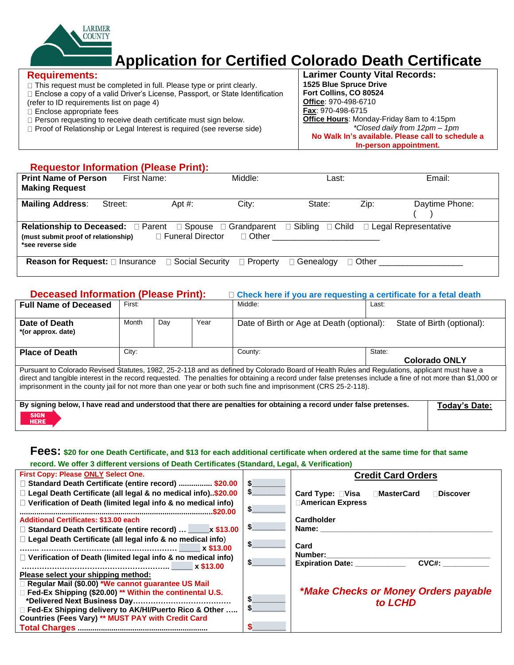

# **Application for Certified Colorado Death Certificate**

### **Requirements:**

**HERE** 

 $\Box$  This request must be completed in full. Please type or print clearly.

Enclose a copy of a valid Driver's License, Passport, or State Identification

- (refer to ID requirements list on page 4) Enclose appropriate fees
- D Person requesting to receive death certificate must sign below.
- □ Proof of Relationship or Legal Interest is required (see reverse side)

**Larimer County Vital Records: 1525 Blue Spruce Drive Fort Collins, CO 80524 Office**: 970-498-6710 **Fax**: 970-498-6715 **Office Hours**: Monday-Friday 8am to 4:15pm *\*Closed daily from 12pm – 1pm* **No Walk In's available. Please call to schedule a In-person appointment.**

### **Requestor Information (Please Print):**

| <b>Print Name of Person</b>                                      | First Name: |                    | Middle:         |                           |                             | Email:         |
|------------------------------------------------------------------|-------------|--------------------|-----------------|---------------------------|-----------------------------|----------------|
|                                                                  |             |                    |                 | Last:                     |                             |                |
| <b>Making Request</b>                                            |             |                    |                 |                           |                             |                |
| <b>Mailing Address:</b>                                          | Street:     | Apt $#$ :          | City:           | State:                    | Zip:                        | Daytime Phone: |
|                                                                  |             |                    |                 |                           |                             |                |
|                                                                  |             |                    |                 |                           |                             |                |
| <b>Relationship to Deceased:</b> □ Parent □ Spouse □ Grandparent |             |                    |                 | $\Box$ Sibling<br>□ Child | $\Box$ Legal Representative |                |
| (must submit proof of relationship)                              |             | □ Funeral Director | $\Box$ Other    |                           |                             |                |
| *see reverse side                                                |             |                    |                 |                           |                             |                |
| <b>Reason for Request:</b> □ Insurance □ Social Security         |             |                    | $\Box$ Property | <b>Genealoαv</b>          | $\Box$ Other                |                |

### **Deceased Information (Please Print): Check here if you are requesting a certificate for a fetal death**

| <b>Full Name of Deceased</b>        | First: |     |      | Middle:                                                                                                                                                                                                                                                        | Last:                                                                                                                                                       |
|-------------------------------------|--------|-----|------|----------------------------------------------------------------------------------------------------------------------------------------------------------------------------------------------------------------------------------------------------------------|-------------------------------------------------------------------------------------------------------------------------------------------------------------|
| Date of Death<br>*(or approx. date) | Month  | Day | Year | Date of Birth or Age at Death (optional):                                                                                                                                                                                                                      | State of Birth (optional):                                                                                                                                  |
| <b>Place of Death</b>               | City:  |     |      | County:                                                                                                                                                                                                                                                        | State:<br><b>Colorado ONLY</b>                                                                                                                              |
|                                     |        |     |      | Pursuant to Colorado Revised Statutes, 1982, 25-2-118 and as defined by Colorado Board of Health Rules and Regulations, applicant must have a<br>imprisonment in the county jail for not more than one year or both such fine and imprisonment (CRS 25-2-118). | direct and tangible interest in the record requested. The penalties for obtaining a record under false pretenses include a fine of not more than \$1,000 or |
| <b>CIONI</b>                        |        |     |      | By signing below, I have read and understood that there are penalties for obtaining a record under false pretenses.                                                                                                                                            | Today's Date:                                                                                                                                               |

### **Fees: \$20 for one Death Certificate, and \$13 for each additional certificate when ordered at the same time for that same record. We offer 3 different versions of Death Certificates (Standard, Legal, & Verification)**

| <b>First Copy: Please ONLY Select One.</b>                          |     | <b>Credit Card Orders</b>                                                                                                                                                                                                      |
|---------------------------------------------------------------------|-----|--------------------------------------------------------------------------------------------------------------------------------------------------------------------------------------------------------------------------------|
| □ Standard Death Certificate (entire record)  \$20.00               | -SI |                                                                                                                                                                                                                                |
| □ Legal Death Certificate (all legal & no medical info)\$20.00      | \$  | Card Type: □Visa □MasterCard<br>Discover                                                                                                                                                                                       |
| $\Box$ Verification of Death (limited legal info & no medical info) |     | <b>∆American Express</b>                                                                                                                                                                                                       |
|                                                                     | S   |                                                                                                                                                                                                                                |
| <b>Additional Certificates: \$13.00 each</b>                        |     | Cardholder                                                                                                                                                                                                                     |
| □ Standard Death Certificate (entire record)  _____ x \$13.00       | æ.  | Name: Name and the state of the state of the state of the state of the state of the state of the state of the state of the state of the state of the state of the state of the state of the state of the state of the state of |
| $\Box$ Legal Death Certificate (all legal info & no medical info)   |     |                                                                                                                                                                                                                                |
|                                                                     |     | Card                                                                                                                                                                                                                           |
| $\Box$ Verification of Death (limited legal info & no medical info) |     | Number: when the contract of the contract of the contract of the contract of the contract of the contract of the contract of the contract of the contract of the contract of the contract of the contract of the contract of t |
|                                                                     |     | CVC#:<br><b>Expiration Date:</b>                                                                                                                                                                                               |
| Please select your shipping method:                                 |     |                                                                                                                                                                                                                                |
| Regular Mail (\$0.00) *We cannot guarantee US Mail                  |     |                                                                                                                                                                                                                                |
| Fed-Ex Shipping (\$20.00) ** Within the continental U.S.            |     | *Make Checks or Money Orders payable                                                                                                                                                                                           |
|                                                                     |     | to LCHD                                                                                                                                                                                                                        |
| Fed-Ex Shipping delivery to AK/HI/Puerto Rico & Other               |     |                                                                                                                                                                                                                                |
| Countries (Fees Vary) ** MUST PAY with Credit Card                  |     |                                                                                                                                                                                                                                |
|                                                                     |     |                                                                                                                                                                                                                                |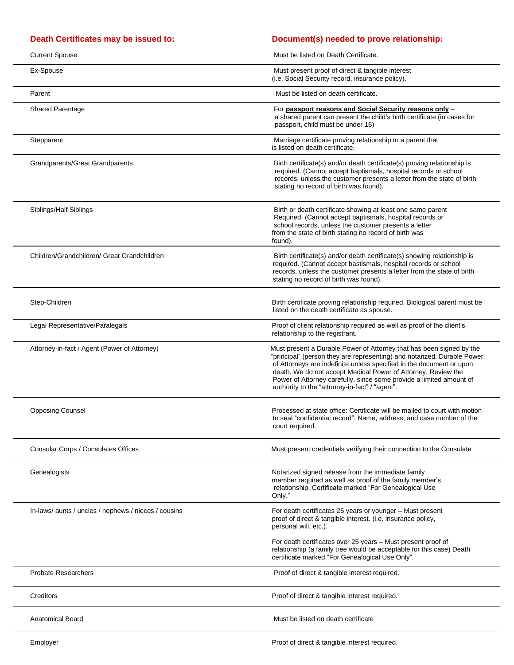$\overline{a}$ 

### **Death Certificates may be issued to: Document(s) needed to prove relationship:**

| <b>Current Spouse</b>                                | Must be listed on Death Certificate.                                                                                                                                                                                                                                                                                                                                                                              |
|------------------------------------------------------|-------------------------------------------------------------------------------------------------------------------------------------------------------------------------------------------------------------------------------------------------------------------------------------------------------------------------------------------------------------------------------------------------------------------|
| Ex-Spouse                                            | Must present proof of direct & tangible interest<br>(i.e. Social Security record, insurance policy).                                                                                                                                                                                                                                                                                                              |
| Parent                                               | Must be listed on death certificate.                                                                                                                                                                                                                                                                                                                                                                              |
| Shared Parentage                                     | For passport reasons and Social Security reasons only -<br>a shared parent can present the child's birth certificate (in cases for<br>passport, child must be under 16)                                                                                                                                                                                                                                           |
| Stepparent                                           | Marriage certificate proving relationship to a parent that<br>is listed on death certificate.                                                                                                                                                                                                                                                                                                                     |
| <b>Grandparents/Great Grandparents</b>               | Birth certificate(s) and/or death certificate(s) proving relationship is<br>required. (Cannot accept baptismals, hospital records or school<br>records, unless the customer presents a letter from the state of birth<br>stating no record of birth was found).                                                                                                                                                   |
| Siblings/Half Siblings                               | Birth or death certificate showing at least one same parent<br>Required. (Cannot accept baptismals, hospital records or<br>school records, unless the customer presents a letter<br>from the state of birth stating no record of birth was<br>found).                                                                                                                                                             |
| Children/Grandchildren/ Great Grandchildren          | Birth certificate(s) and/or death certificate(s) showing relationship is<br>required. (Cannot accept bastismals, hospital records or school<br>records, unless the customer presents a letter from the state of birth<br>stating no record of birth was found).                                                                                                                                                   |
| Step-Children                                        | Birth certificate proving relationship required. Biological parent must be<br>listed on the death certificate as spouse.                                                                                                                                                                                                                                                                                          |
| Legal Representative/Paralegals                      | Proof of client relationship required as well as proof of the client's<br>relationship to the registrant.                                                                                                                                                                                                                                                                                                         |
| Attorney-in-fact / Agent (Power of Attorney)         | Must present a Durable Power of Attorney that has been signed by the<br>"principal" (person they are representing) and notarized. Durable Power<br>of Attorneys are indefinite unless specified in the document or upon<br>death. We do not accept Medical Power of Attorney. Review the<br>Power of Attorney carefully, since some provide a limited amount of<br>authority to the "attorney-in-fact" / "agent". |
| <b>Opposing Counsel</b>                              | Processed at state office: Certificate will be mailed to court with motion<br>to seal "confidential record". Name, address, and case number of the<br>court required.                                                                                                                                                                                                                                             |
| Consular Corps / Consulates Offices                  | Must present credentials verifying their connection to the Consulate                                                                                                                                                                                                                                                                                                                                              |
| Genealogists                                         | Notarized signed release from the immediate family<br>member required as well as proof of the family member's<br>relationship. Certificate marked "For Genealogical Use<br>Only."                                                                                                                                                                                                                                 |
| In-laws/ aunts / uncles / nephews / nieces / cousins | For death certificates 25 years or younger - Must present<br>proof of direct & tangible interest. (i.e. insurance policy,<br>personal will, etc.).                                                                                                                                                                                                                                                                |
|                                                      | For death certificates over 25 years - Must present proof of<br>relationship (a family tree would be acceptable for this case) Death<br>certificate marked "For Genealogical Use Only".                                                                                                                                                                                                                           |
| <b>Probate Researchers</b>                           | Proof of direct & tangible interest required.                                                                                                                                                                                                                                                                                                                                                                     |
| Creditors                                            | Proof of direct & tangible interest required.                                                                                                                                                                                                                                                                                                                                                                     |
| <b>Anatomical Board</b>                              | Must be listed on death certificate                                                                                                                                                                                                                                                                                                                                                                               |
|                                                      |                                                                                                                                                                                                                                                                                                                                                                                                                   |

 $\overline{a}$ 

 $\overline{a}$ 

Employer **Employer** Proof of direct & tangible interest required.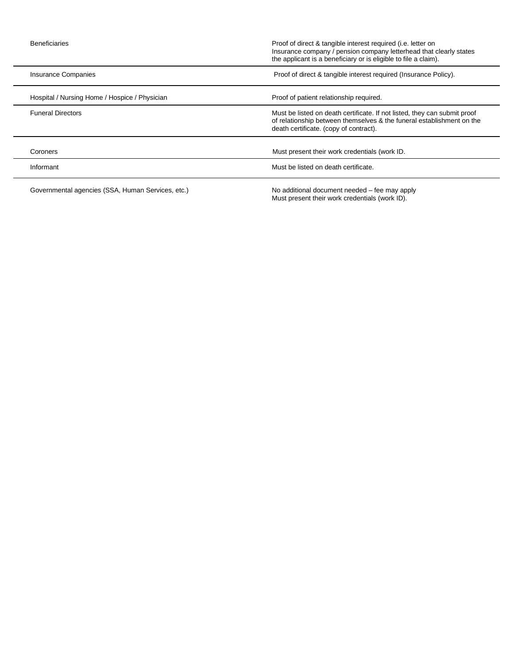| <b>Beneficiaries</b>                              | Proof of direct & tangible interest required (i.e. letter on<br>Insurance company / pension company letterhead that clearly states<br>the applicant is a beneficiary or is eligible to file a claim). |
|---------------------------------------------------|-------------------------------------------------------------------------------------------------------------------------------------------------------------------------------------------------------|
| Insurance Companies                               | Proof of direct & tangible interest required (Insurance Policy).                                                                                                                                      |
| Hospital / Nursing Home / Hospice / Physician     | Proof of patient relationship required.                                                                                                                                                               |
| <b>Funeral Directors</b>                          | Must be listed on death certificate. If not listed, they can submit proof<br>of relationship between themselves & the funeral establishment on the<br>death certificate. (copy of contract).          |
| Coroners                                          | Must present their work credentials (work ID.                                                                                                                                                         |
| Informant                                         | Must be listed on death certificate.                                                                                                                                                                  |
| Governmental agencies (SSA, Human Services, etc.) | No additional document needed – fee may apply<br>Must present their work credentials (work ID).                                                                                                       |